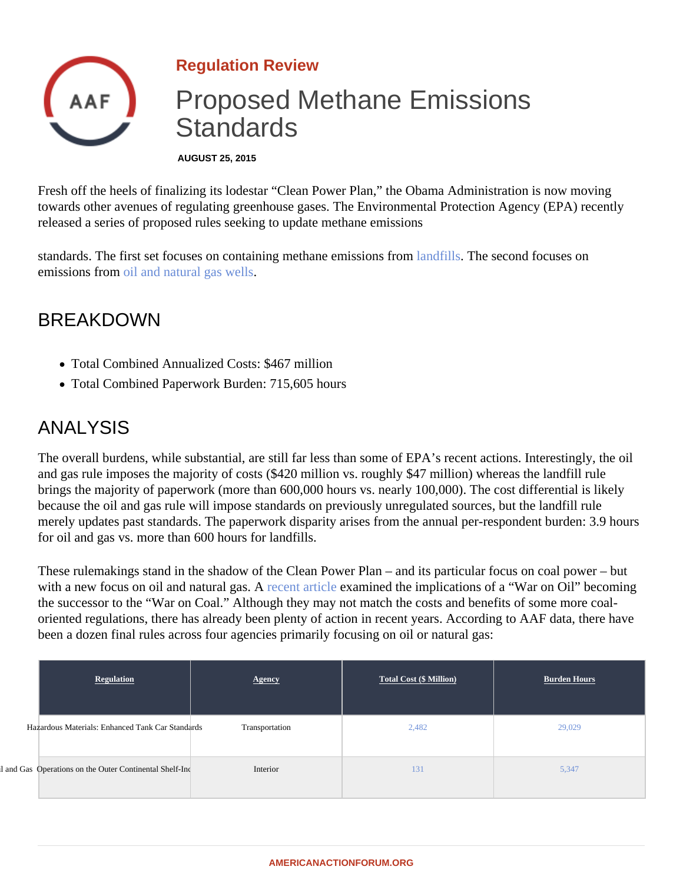Regulation Review

## Proposed Methane Emissions **Standards**

AUGUST 25, 2015

Fresh off the heels of finalizing its lodestar "Clean Power Plan," the Obama Administration is now moving towards other avenues of regulating greenhouse gases. The Environmental Protection Agency (EPA) recently released a series of proposed rules seeking to update methane emissions

standards. The first set focuses on containing methane emission antidities. The second focuses on emissions from il and natural gas wells.

## BREAKDOWN

- Total Combined Annualized Costs: \$467 million
- Total Combined Paperwork Burden: 715,605 hours

## ANALYSIS

The overall burdens, while substantial, are still far less than some of EPA's recent actions. Interestingly, the c and gas rule imposes the majority of costs (\$420 million vs. roughly \$47 million) whereas the landfill rule brings the majority of paperwork (more than 600,000 hours vs. nearly 100,000). The cost differential is likely because the oil and gas rule will impose standards on previously unregulated sources, but the landfill rule merely updates past standards. The paperwork disparity arises from the annual per-respondent burden: 3.9 hours for oil and gas vs. more than 600 hours for landfills.

These rulemakings stand in the shadow of the Clean Power Plan – and its particular focus on coal power – but with a new focus on oil and natural gasrecent article examined the implications of a "War on Oil" becoming the successor to the "War on Coal." Although they may not match the costs and benefits of some more coaloriented regulations, there has already been plenty of action in recent years. According to AAF data, there ha been a dozen final rules across four agencies primarily focusing on oil or natural gas:

| Regulation                                       | Agency         | Total Cost (\$ Million) | <b>Burden Hours</b> |
|--------------------------------------------------|----------------|-------------------------|---------------------|
| Hazardous Materials: Enhanced Tank Car Standards | Transportation | 2,482                   | 29,029              |
| and Gas Operations on the Outer Continental She  | Interior       | 131                     | 5,347               |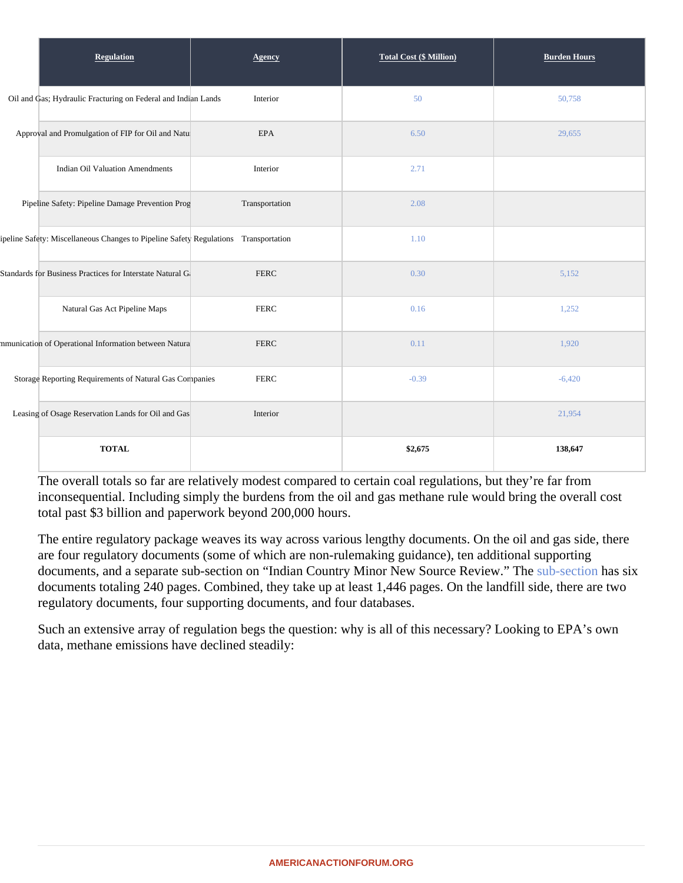| Regulation                                                                     | Agency         | Total Cost (\$ Million) | <b>Burden Hours</b> |
|--------------------------------------------------------------------------------|----------------|-------------------------|---------------------|
| Oil and Gas; Hydraulic Fracturing on Federal and Indian Lands                  | Interior       | 50                      | 50,758              |
| Approval and Promulgation of FIP for Oil and N                                 | EPA            | 6.50                    | 29,655              |
| Indian Oil Valuation Amendments                                                | Interior       | 2.71                    |                     |
| Pipeline Safety: Pipeline Damage Prevention                                    | Transportation | 2.08                    |                     |
| ipeline Safety: Miscellaneous Changes to Pipeline Safety Regulatloassportation |                | 1.10                    |                     |
| Standards for Business Practices for Interstate Natu                           | <b>FERC</b>    | 0.30                    | 5,152               |
| Natural Gas Act Pipeline Maps                                                  | <b>FERC</b>    | 0.16                    | 1,252               |
| mmunication of Operational Information between Na                              | <b>FERC</b>    | 0.11                    | 1,920               |
| Storage Reporting Requirements of Natural Gas Companies                        | <b>FERC</b>    | $-0.39$                 | $-6,420$            |
| Leasing of Osage Reservation Lands for Oil and                                 | Interior       |                         | 21,954              |
| <b>TOTAL</b>                                                                   |                | \$2,675                 | 138,647             |

The overall totals so far are relatively modest compared to certain coal regulations, but they're far from inconsequential. Including simply the burdens from the oil and gas methane rule would bring the overall cost total past \$3 billion and paperwork beyond 200,000 hours.

The entire regulatory package weaves its way across various lengthy documents. On the oil and gas side, the are four regulatory documents (some of which are non-rulemaking guidance), ten additional supporting documents, and a separate sub-section on "Indian Country Minor New Source Review." The six documents totaling 240 pages. Combined, they take up at least 1,446 pages. On the landfill side, there are two regulatory documents, four supporting documents, and four databases.

Such an extensive array of regulation begs the question: why is all of this necessary? Looking to EPA's own data, methane emissions have declined steadily: